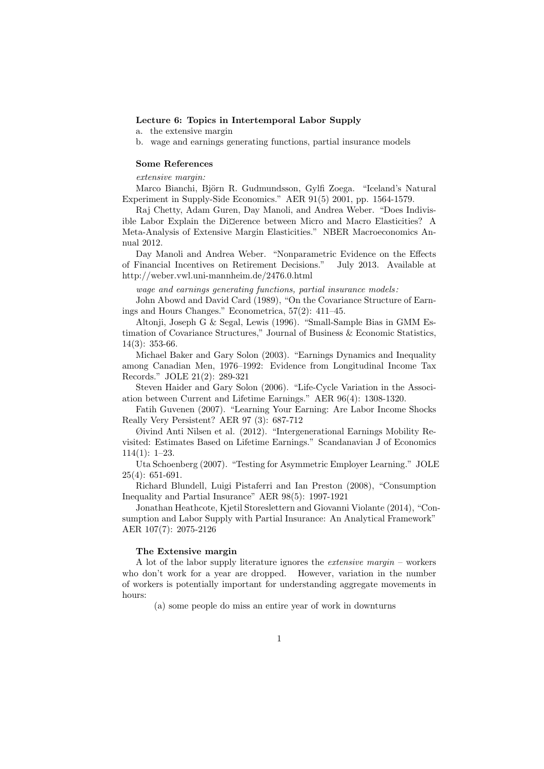## Lecture 6: Topics in Intertemporal Labor Supply

- a. the extensive margin
- b. wage and earnings generating functions, partial insurance models

# Some References

extensive margin:

Marco Bianchi, Björn R. Gudmundsson, Gylfi Zoega. "Iceland's Natural Experiment in Supply-Side Economics." AER 91(5) 2001, pp. 1564-1579.

Raj Chetty, Adam Guren, Day Manoli, and Andrea Weber. "Does Indivisible Labor Explain the Di¤erence between Micro and Macro Elasticities? A Meta-Analysis of Extensive Margin Elasticities." NBER Macroeconomics Annual 2012.

Day Manoli and Andrea Weber. "Nonparametric Evidence on the Effects of Financial Incentives on Retirement Decisions." July 2013. Available at http://weber.vwl.uni-mannheim.de/2476.0.html

wage and earnings generating functions, partial insurance models :

John Abowd and David Card (1989), "On the Covariance Structure of Earnings and Hours Changes." Econometrica, 57(2): 411–45.

Altonji, Joseph G & Segal, Lewis (1996). "Small-Sample Bias in GMM Estimation of Covariance Structures," Journal of Business & Economic Statistics, 14(3): 353-66.

Michael Baker and Gary Solon (2003). "Earnings Dynamics and Inequality among Canadian Men, 1976–1992: Evidence from Longitudinal Income Tax Records." JOLE 21(2): 289-321

Steven Haider and Gary Solon (2006). "Life-Cycle Variation in the Association between Current and Lifetime Earnings." AER 96(4): 1308-1320.

Fatih Guvenen (2007). "Learning Your Earning: Are Labor Income Shocks Really Very Persistent? AER 97 (3): 687-712

Øivind Anti Nilsen et al. (2012). "Intergenerational Earnings Mobility Revisited: Estimates Based on Lifetime Earnings." Scandanavian J of Economics 114(1): 1–23.

Uta Schoenberg (2007). "Testing for Asymmetric Employer Learning." JOLE 25(4): 651-691.

Richard Blundell, Luigi Pistaferri and Ian Preston (2008), "Consumption Inequality and Partial Insurance" AER 98(5): 1997-1921

Jonathan Heathcote, Kjetil Storeslettern and Giovanni Violante (2014), "Consumption and Labor Supply with Partial Insurance: An Analytical Framework" AER 107(7): 2075-2126

#### The Extensive margin

A lot of the labor supply literature ignores the extensive margin – workers who don't work for a year are dropped. However, variation in the number of workers is potentially important for understanding aggregate movements in hours:

(a) some people do miss an entire year of work in downturns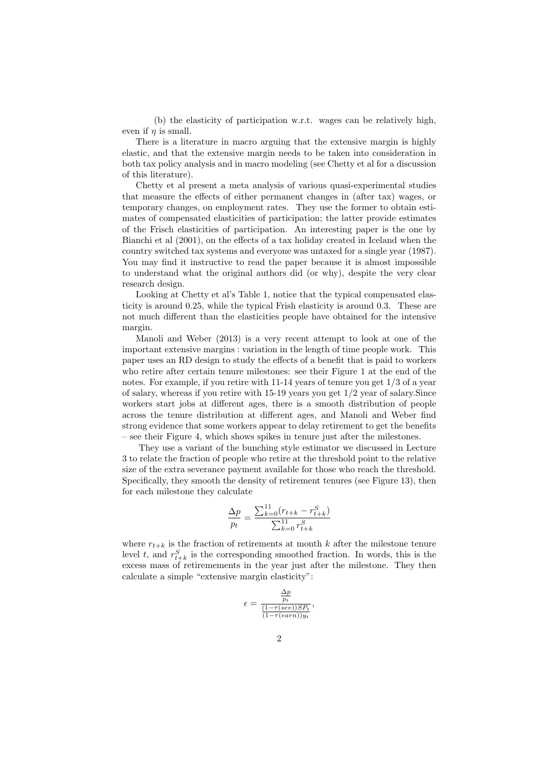(b) the elasticity of participation w.r.t. wages can be relatively high, even if  $\eta$  is small.

There is a literature in macro arguing that the extensive margin is highly elastic, and that the extensive margin needs to be taken into consideration in both tax policy analysis and in macro modeling (see Chetty et al for a discussion of this literature).

Chetty et al present a meta analysis of various quasi-experimental studies that measure the effects of either permanent changes in (after tax) wages, or temporary changes, on employment rates. They use the former to obtain estimates of compensated elasticities of participation; the latter provide estimates of the Frisch elasticities of participation. An interesting paper is the one by Bianchi et al (2001), on the effects of a tax holiday created in Iceland when the country switched tax systems and everyone was untaxed for a single year (1987). You may find it instructive to read the paper because it is almost impossible to understand what the original authors did (or why), despite the very clear research design.

Looking at Chetty et al's Table 1, notice that the typical compensated elasticity is around 0.25, while the typical Frish elasticity is around 0.3. These are not much different than the elasticities people have obtained for the intensive margin.

Manoli and Weber (2013) is a very recent attempt to look at one of the important extensive margins : variation in the length of time people work. This paper uses an RD design to study the effects of a benefit that is paid to workers who retire after certain tenure milestones: see their Figure 1 at the end of the notes. For example, if you retire with  $11-14$  years of tenure you get  $1/3$  of a year of salary, whereas if you retire with 15-19 years you get 1/2 year of salary.Since workers start jobs at different ages, there is a smooth distribution of people across the tenure distribution at different ages, and Manoli and Weber find strong evidence that some workers appear to delay retirement to get the benefits – see their Figure 4, which shows spikes in tenure just after the milestones.

They use a variant of the bunching style estimator we discussed in Lecture 3 to relate the fraction of people who retire at the threshold point to the relative size of the extra severance payment available for those who reach the threshold. Specifically, they smooth the density of retirement tenures (see Figure 13), then for each milestone they calculate

$$
\frac{\Delta p}{p_t} = \frac{\sum_{k=0}^{11} (r_{t+k} - r_{t+k}^S)}{\sum_{k=0}^{11} r_{t+k}^S}
$$

where  $r_{t+k}$  is the fraction of retirements at month k after the milestone tenure level t, and  $r_{t+k}^S$  is the corresponding smoothed fraction. In words, this is the excess mass of retiremements in the year just after the milestone. They then calculate a simple "extensive margin elasticity":

$$
\epsilon = \frac{\frac{\Delta p}{p_t}}{\frac{(1-\tau(sev))SP_t}{(1-\tau(earn))y_t}},
$$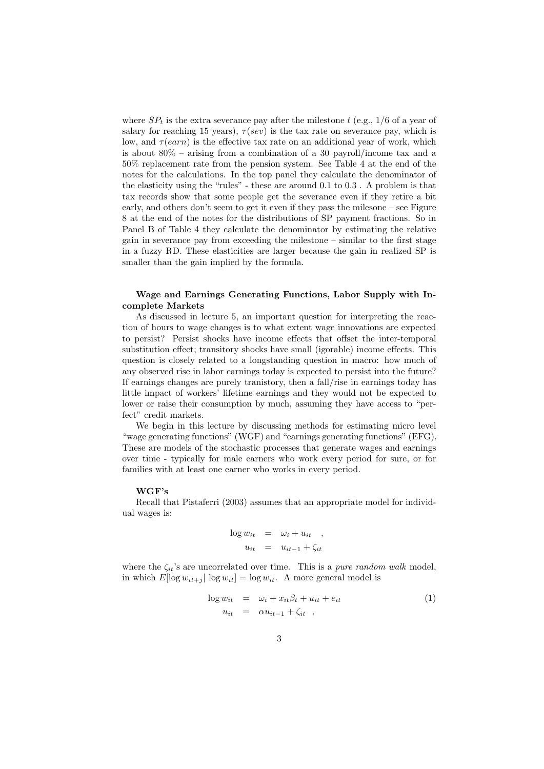where  $SP<sub>t</sub>$  is the extra severance pay after the milestone t (e.g., 1/6 of a year of salary for reaching 15 years),  $\tau$ (sev) is the tax rate on severance pay, which is low, and  $\tau(earn)$  is the effective tax rate on an additional year of work, which is about 80% – arising from a combination of a 30 payroll/income tax and a 50% replacement rate from the pension system. See Table 4 at the end of the notes for the calculations. In the top panel they calculate the denominator of the elasticity using the "rules" - these are around 0.1 to 0.3 . A problem is that tax records show that some people get the severance even if they retire a bit early, and others don't seem to get it even if they pass the milesone – see Figure 8 at the end of the notes for the distributions of SP payment fractions. So in Panel B of Table 4 they calculate the denominator by estimating the relative gain in severance pay from exceeding the milestone – similar to the first stage in a fuzzy RD. These elasticities are larger because the gain in realized SP is smaller than the gain implied by the formula.

# Wage and Earnings Generating Functions, Labor Supply with Incomplete Markets

As discussed in lecture 5, an important question for interpreting the reaction of hours to wage changes is to what extent wage innovations are expected to persist? Persist shocks have income effects that offset the inter-temporal substitution effect; transitory shocks have small (igorable) income effects. This question is closely related to a longstanding question in macro: how much of any observed rise in labor earnings today is expected to persist into the future? If earnings changes are purely tranistory, then a fall/rise in earnings today has little impact of workers' lifetime earnings and they would not be expected to lower or raise their consumption by much, assuming they have access to "perfect" credit markets.

We begin in this lecture by discussing methods for estimating micro level "wage generating functions" (WGF) and "earnings generating functions" (EFG). These are models of the stochastic processes that generate wages and earnings over time - typically for male earners who work every period for sure, or for families with at least one earner who works in every period.

## WGF's

Recall that Pistaferri (2003) assumes that an appropriate model for individual wages is:

$$
\log w_{it} = \omega_i + u_{it} ,
$$
  

$$
u_{it} = u_{it-1} + \zeta_{it}
$$

where the  $\zeta_{it}$ 's are uncorrelated over time. This is a *pure random walk* model, in which  $E[\log w_{it+j}] \log w_{it}] = \log w_{it}$ . A more general model is

$$
\log w_{it} = \omega_i + x_{it}\beta_t + u_{it} + e_{it}
$$
  
\n
$$
u_{it} = \alpha u_{it-1} + \zeta_{it} ,
$$
\n(1)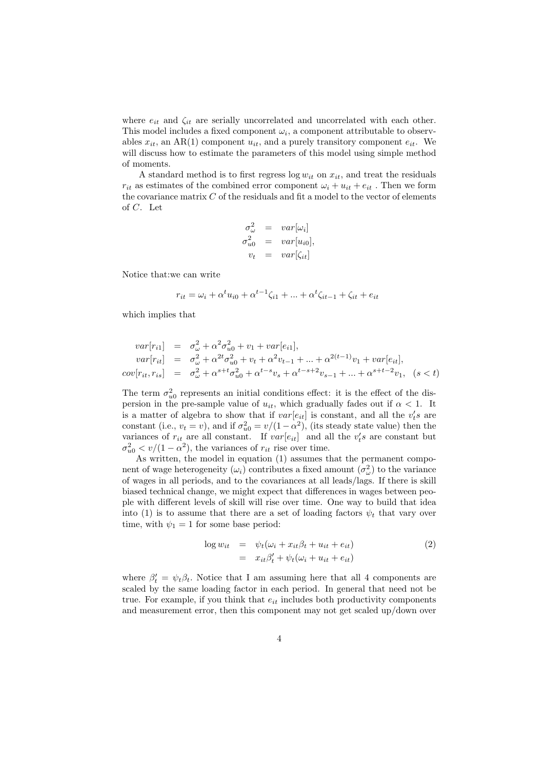where  $e_{it}$  and  $\zeta_{it}$  are serially uncorrelated and uncorrelated with each other. This model includes a fixed component  $\omega_i$ , a component attributable to observables  $x_{it}$ , an AR(1) component  $u_{it}$ , and a purely transitory component  $e_{it}$ . We will discuss how to estimate the parameters of this model using simple method of moments.

A standard method is to first regress  $\log w_{it}$  on  $x_{it}$ , and treat the residuals  $r_{it}$  as estimates of the combined error component  $\omega_i + u_{it} + e_{it}$ . Then we form the covariance matrix  $C$  of the residuals and fit a model to the vector of elements of C. Let

$$
\sigma_{\omega}^{2} = var[\omega_{i}]
$$
  
\n
$$
\sigma_{u0}^{2} = var[u_{i0}],
$$
  
\n
$$
v_{t} = var[\zeta_{it}]
$$

Notice that:we can write

$$
r_{it} = \omega_i + \alpha^t u_{i0} + \alpha^{t-1} \zeta_{i1} + \dots + \alpha^t \zeta_{it-1} + \zeta_{it} + e_{it}
$$

which implies that

$$
var[r_{i1}] = \sigma_{\omega}^{2} + \alpha^{2} \sigma_{u0}^{2} + v_{1} + var[e_{i1}],
$$
  
\n
$$
var[r_{it}] = \sigma_{\omega}^{2} + \alpha^{2} \sigma_{u0}^{2} + v_{t} + \alpha^{2} v_{t-1} + \dots + \alpha^{2(t-1)} v_{1} + var[e_{it}],
$$
  
\n
$$
cov[r_{it}, r_{is}] = \sigma_{\omega}^{2} + \alpha^{s+t} \sigma_{u0}^{2} + \alpha^{t-s} v_{s} + \alpha^{t-s+2} v_{s-1} + \dots + \alpha^{s+t-2} v_{1}, \quad (s < t)
$$

The term  $\sigma_{u0}^2$  represents an initial conditions effect: it is the effect of the dispersion in the pre-sample value of  $u_{it}$ , which gradually fades out if  $\alpha < 1$ . It is a matter of algebra to show that if  $var[e_{it}]$  is constant, and all the  $v_t's$  are constant (i.e.,  $v_t = v$ ), and if  $\sigma_{u0}^2 = v/(1 - \alpha^2)$ , (its steady state value) then the variances of  $r_{it}$  are all constant. If  $var[e_{it}]$  and all the  $v_t's$  are constant but  $\sigma_{u0}^2 < v/(1-\alpha^2)$ , the variances of  $r_{it}$  rise over time.

As written, the model in equation (1) assumes that the permanent component of wage heterogeneity  $(\omega_i)$  contributes a fixed amount  $(\sigma_{\omega}^2)$  to the variance of wages in all periods, and to the covariances at all leads/lags. If there is skill biased technical change, we might expect that differences in wages between people with different levels of skill will rise over time. One way to build that idea into (1) is to assume that there are a set of loading factors  $\psi_t$  that vary over time, with  $\psi_1 = 1$  for some base period:

$$
\log w_{it} = \psi_t(\omega_i + x_{it}\beta_t + u_{it} + e_{it})
$$
  
=  $x_{it}\beta'_t + \psi_t(\omega_i + u_{it} + e_{it})$  (2)

where  $\beta_t' = \psi_t \beta_t$ . Notice that I am assuming here that all 4 components are scaled by the same loading factor in each period. In general that need not be true. For example, if you think that  $e_{it}$  includes both productivity components and measurement error, then this component may not get scaled up/down over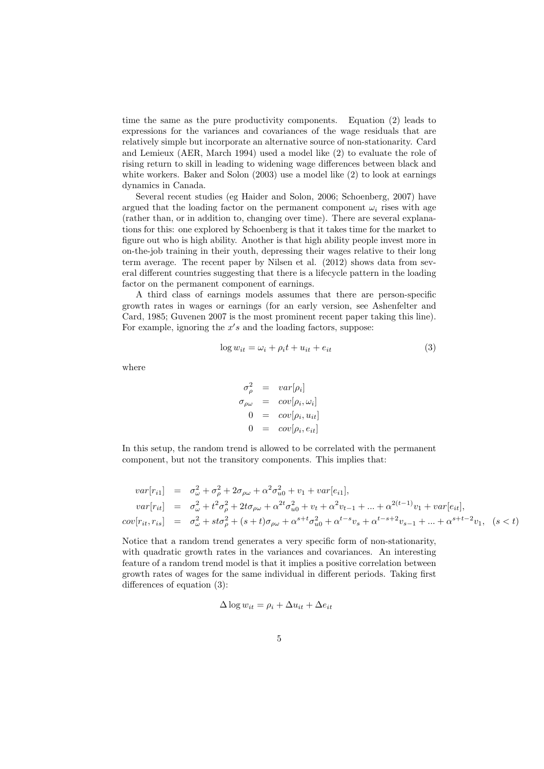time the same as the pure productivity components. Equation (2) leads to expressions for the variances and covariances of the wage residuals that are relatively simple but incorporate an alternative source of non-stationarity. Card and Lemieux (AER, March 1994) used a model like (2) to evaluate the role of rising return to skill in leading to widening wage differences between black and white workers. Baker and Solon (2003) use a model like (2) to look at earnings dynamics in Canada.

Several recent studies (eg Haider and Solon, 2006; Schoenberg, 2007) have argued that the loading factor on the permanent component  $\omega_i$  rises with age (rather than, or in addition to, changing over time). There are several explanations for this: one explored by Schoenberg is that it takes time for the market to figure out who is high ability. Another is that high ability people invest more in on-the-job training in their youth, depressing their wages relative to their long term average. The recent paper by Nilsen et al. (2012) shows data from several different countries suggesting that there is a lifecycle pattern in the loading factor on the permanent component of earnings.

A third class of earnings models assumes that there are person-specific growth rates in wages or earnings (for an early version, see Ashenfelter and Card, 1985; Guvenen 2007 is the most prominent recent paper taking this line). For example, ignoring the  $x's$  and the loading factors, suppose:

$$
\log w_{it} = \omega_i + \rho_i t + u_{it} + e_{it} \tag{3}
$$

where

$$
\begin{aligned}\n\sigma_{\rho}^2 &= var[\rho_i] \\
\sigma_{\rho\omega} &= cov[\rho_i, \omega_i] \\
0 &= cov[\rho_i, u_{it}] \\
0 &= cov[\rho_i, e_{it}]\n\end{aligned}
$$

In this setup, the random trend is allowed to be correlated with the permanent component, but not the transitory components. This implies that:

$$
var[r_{i1}] = \sigma_{\omega}^{2} + \sigma_{\rho}^{2} + 2\sigma_{\rho\omega} + \alpha^{2}\sigma_{u0}^{2} + v_{1} + var[e_{i1}],
$$
  
\n
$$
var[r_{it}] = \sigma_{\omega}^{2} + t^{2}\sigma_{\rho}^{2} + 2t\sigma_{\rho\omega} + \alpha^{2t}\sigma_{u0}^{2} + v_{t} + \alpha^{2}v_{t-1} + ... + \alpha^{2(t-1)}v_{1} + var[e_{it}],
$$
  
\n
$$
cov[r_{it}, r_{is}] = \sigma_{\omega}^{2} + st\sigma_{\rho}^{2} + (s+t)\sigma_{\rho\omega} + \alpha^{s+t}\sigma_{u0}^{2} + \alpha^{t-s}v_{s} + \alpha^{t-s+2}v_{s-1} + ... + \alpha^{s+t-2}v_{1}, \quad (s < t)
$$

Notice that a random trend generates a very specific form of non-stationarity, with quadratic growth rates in the variances and covariances. An interesting feature of a random trend model is that it implies a positive correlation between growth rates of wages for the same individual in different periods. Taking first differences of equation (3):

$$
\Delta \log w_{it} = \rho_i + \Delta u_{it} + \Delta e_{it}
$$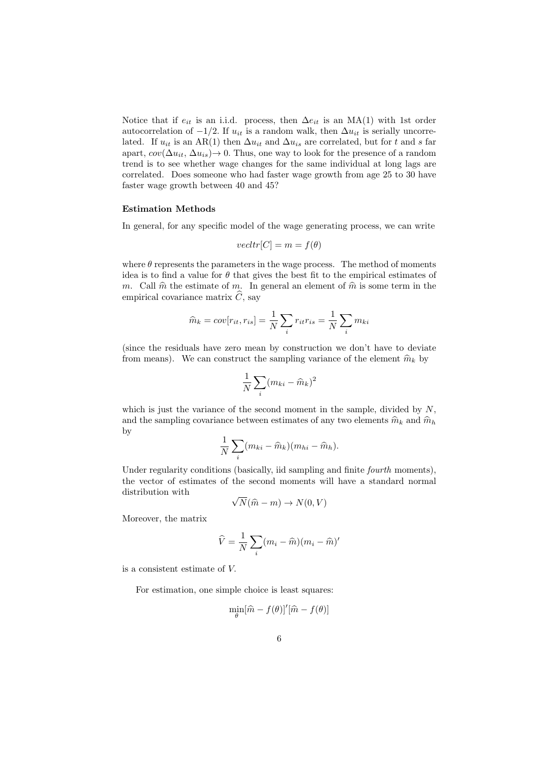Notice that if  $e_{it}$  is an i.i.d. process, then  $\Delta e_{it}$  is an MA(1) with 1st order autocorrelation of  $-1/2$ . If  $u_{it}$  is a random walk, then  $\Delta u_{it}$  is serially uncorrelated. If  $u_{it}$  is an AR(1) then  $\Delta u_{it}$  and  $\Delta u_{is}$  are correlated, but for t and s far apart,  $cov(\Delta u_{it}, \Delta u_{is}) \rightarrow 0$ . Thus, one way to look for the presence of a random trend is to see whether wage changes for the same individual at long lags are correlated. Does someone who had faster wage growth from age 25 to 30 have faster wage growth between 40 and 45?

### Estimation Methods

In general, for any specific model of the wage generating process, we can write

$$
vectr[C] = m = f(\theta)
$$

where  $\theta$  represents the parameters in the wage process. The method of moments idea is to find a value for  $\theta$  that gives the best fit to the empirical estimates of m. Call  $\hat{m}$  the estimate of m. In general an element of  $\hat{m}$  is some term in the empirical covariance matrix  $\widehat{C}$ , say

$$
\widehat{m}_k = cov[r_{it}, r_{is}] = \frac{1}{N} \sum_i r_{it} r_{is} = \frac{1}{N} \sum_i m_{ki}
$$

(since the residuals have zero mean by construction we don't have to deviate from means). We can construct the sampling variance of the element  $\hat{m}_k$  by

$$
\frac{1}{N} \sum_{i} (m_{ki} - \widehat{m}_k)^2
$$

which is just the variance of the second moment in the sample, divided by  $N$ , and the sampling covariance between estimates of any two elements  $\hat{m}_k$  and  $\hat{m}_h$ by

$$
\frac{1}{N}\sum_{i}(m_{ki}-\widehat{m}_k)(m_{hi}-\widehat{m}_h).
$$

Under regularity conditions (basically, iid sampling and finite *fourth* moments), the vector of estimates of the second moments will have a standard normal distribution with √

$$
\sqrt{N(\widehat{m}-m)} \to N(0,V)
$$

Moreover, the matrix

$$
\widehat{V} = \frac{1}{N} \sum_{i} (m_i - \widehat{m})(m_i - \widehat{m})'
$$

is a consistent estimate of V.

For estimation, one simple choice is least squares:

$$
\min_{\theta} [\widehat{m} - f(\theta)]'[\widehat{m} - f(\theta)]
$$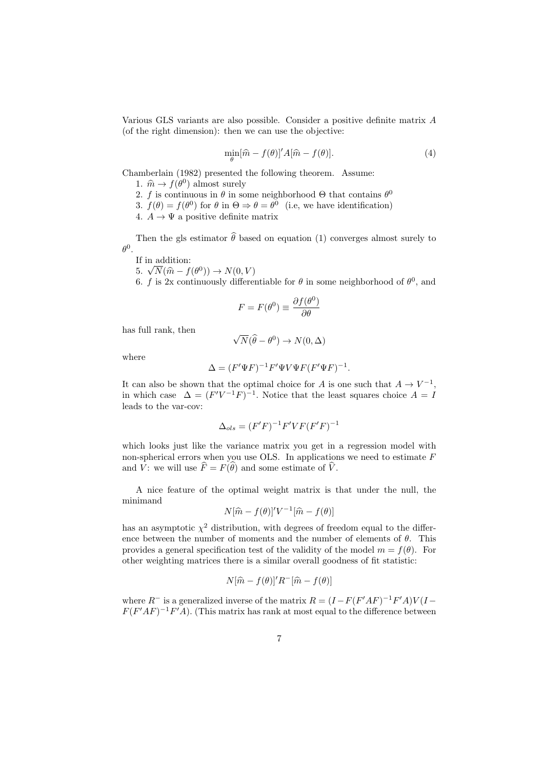Various GLS variants are also possible. Consider a positive definite matrix A (of the right dimension): then we can use the objective:

$$
\min_{\theta} [\hat{m} - f(\theta)]' A[\hat{m} - f(\theta)]. \tag{4}
$$

Chamberlain (1982) presented the following theorem. Assume:

- 1.  $\hat{m} \to f(\theta^0)$  almost surely<br>
2. f is continuous in  $\theta$  in so
- 2. f is continuous in  $\theta$  in some neighborhood  $\Theta$  that contains  $\theta^0$
- 3.  $f(\theta) = f(\theta^0)$  for  $\theta$  in  $\Theta \Rightarrow \theta = \theta^0$  (i.e, we have identification)
- 4.  $A \rightarrow \Psi$  a positive definite matrix

Then the gls estimator  $\hat{\theta}$  based on equation (1) converges almost surely to  $\theta^0$ .

If in addition:

If in addition:<br>
5.  $\sqrt{N}(\hat{m} - f(\theta^0)) \rightarrow N(0, V)$ <br>
6. f is 2x continuously different

6. f is 2x continuously differentiable for  $\theta$  in some neighborhood of  $\theta^0$ , and

$$
F = F(\theta^0) \equiv \frac{\partial f(\theta^0)}{\partial \theta}
$$

has full rank, then

$$
\sqrt{N}(\widehat{\theta}-\theta^0)\to N(0,\Delta)
$$

where

$$
\Delta = (F'\Psi F)^{-1}F'\Psi V\Psi F (F'\Psi F)^{-1}.
$$

It can also be shown that the optimal choice for A is one such that  $A \to V^{-1}$ , in which case  $\Delta = (F'V^{-1}F)^{-1}$ . Notice that the least squares choice  $A = I$ leads to the var-cov:

$$
\Delta_{ols} = (F'F)^{-1}F'VF(F'F)^{-1}
$$

which looks just like the variance matrix you get in a regression model with non-spherical errors when you use OLS. In applications we need to estimate F and V: we will use  $\widehat{F} = F(\widehat{\theta})$  and some estimate of  $\widehat{V}$ .

A nice feature of the optimal weight matrix is that under the null, the minimand

$$
N[\hat{m} - f(\theta)]'V^{-1}[\hat{m} - f(\theta)]
$$

has an asymptotic  $\chi^2$  distribution, with degrees of freedom equal to the difference between the number of moments and the number of elements of  $\theta$ . This provides a general specification test of the validity of the model  $m = f(\theta)$ . For other weighting matrices there is a similar overall goodness of fit statistic:

$$
N[\hat{m} - f(\theta)]' R^{-}[\hat{m} - f(\theta)]
$$

where  $R^-$  is a generalized inverse of the matrix  $R = (I - F(F'AF)^{-1}F'A)V(I F(F'AF)^{-1}F'A$ ). (This matrix has rank at most equal to the difference between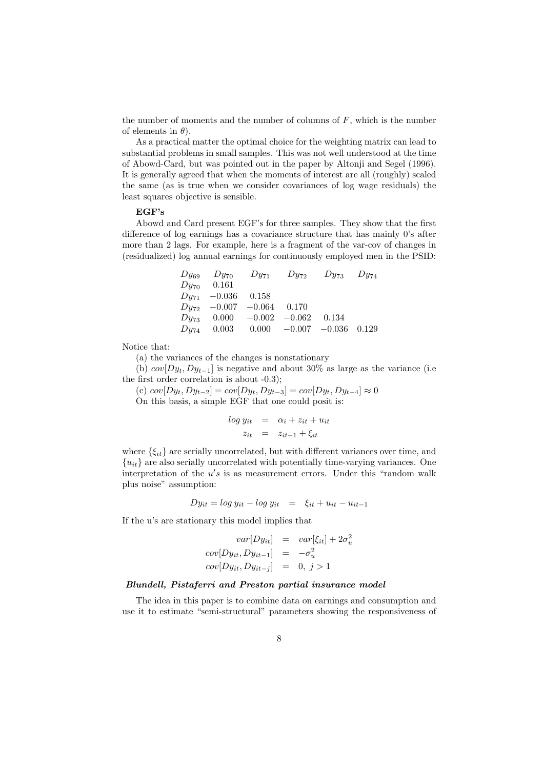the number of moments and the number of columns of  $F$ , which is the number of elements in  $\theta$ ).

As a practical matter the optimal choice for the weighting matrix can lead to substantial problems in small samples. This was not well understood at the time of Abowd-Card, but was pointed out in the paper by Altonji and Segel (1996). It is generally agreed that when the moments of interest are all (roughly) scaled the same (as is true when we consider covariances of log wage residuals) the least squares objective is sensible.

# EGF's

Abowd and Card present EGF's for three samples. They show that the first difference of log earnings has a covariance structure that has mainly 0's after more than 2 lags. For example, here is a fragment of the var-cov of changes in (residualized) log annual earnings for continuously employed men in the PSID:

|                        |                               | $Dy_{69}$ $Dy_{70}$ $Dy_{71}$ $Dy_{72}$ $Dy_{73}$ $Dy_{74}$ |  |
|------------------------|-------------------------------|-------------------------------------------------------------|--|
| $Dy_{70}$ 0.161        |                               |                                                             |  |
| $Dy_{71}$ -0.036 0.158 |                               |                                                             |  |
|                        | $Dy_{72}$ -0.007 -0.064 0.170 |                                                             |  |
|                        |                               | $Dy_{73}$ 0.000 $-0.002$ $-0.062$ 0.134                     |  |
|                        |                               | $Dy_{74}$ 0.003 0.000 -0.007 -0.036 0.129                   |  |

Notice that:

(a) the variances of the changes is nonstationary

(b)  $cov[Dy_t, Dy_{t-1}]$  is negative and about 30% as large as the variance (i.e. the first order correlation is about -0.3);

(c)  $cov[Dy_t, Dy_{t-2}] = cov[Dy_t, Dy_{t-3}] = cov[Dy_t, Dy_{t-4}] ≈ 0$ On this basis, a simple EGF that one could posit is:

$$
log y_{it} = \alpha_i + z_{it} + u_{it}
$$
  

$$
z_{it} = z_{it-1} + \xi_{it}
$$

where  $\{\xi_{it}\}$  are serially uncorrelated, but with different variances over time, and  ${u<sub>it</sub>}$  are also serially uncorrelated with potentially time-varying variances. One interpretation of the  $u's$  is as measurement errors. Under this "random walk plus noise" assumption:

$$
Dy_{it} = \log y_{it} - \log y_{it} = \xi_{it} + u_{it} - u_{it-1}
$$

If the u's are stationary this model implies that

$$
var[Dy_{it}] = var[\xi_{it}] + 2\sigma_u^2
$$

$$
cov[Dy_{it}, Dy_{it-1}] = -\sigma_u^2
$$

$$
cov[Dy_{it}, Dy_{it-j}] = 0, j > 1
$$

# Blundell, Pistaferri and Preston partial insurance model

The idea in this paper is to combine data on earnings and consumption and use it to estimate "semi-structural" parameters showing the responsiveness of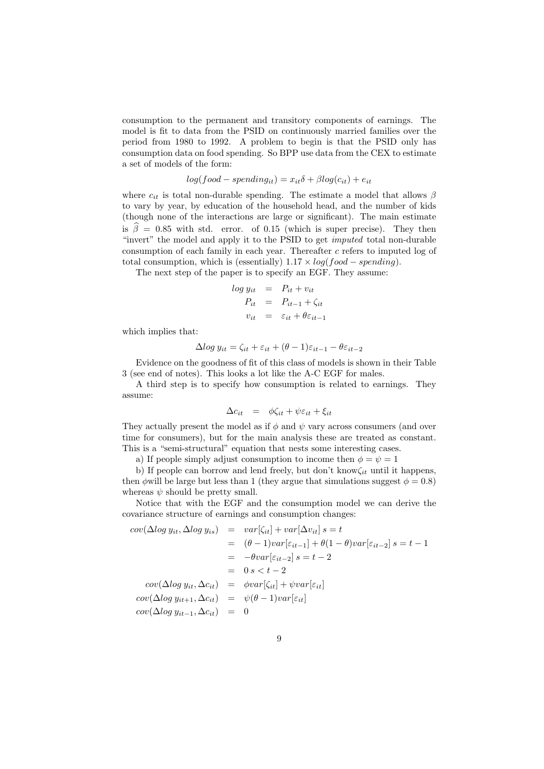consumption to the permanent and transitory components of earnings. The model is fit to data from the PSID on continuously married families over the period from 1980 to 1992. A problem to begin is that the PSID only has consumption data on food spending. So BPP use data from the CEX to estimate a set of models of the form:

$$
log(food-spending_{it}) = x_{it}\delta + \beta log(c_{it}) + e_{it}
$$

where  $c_{it}$  is total non-durable spending. The estimate a model that allows  $\beta$ to vary by year, by education of the household head, and the number of kids (though none of the interactions are large or significant). The main estimate is  $\hat{\beta} = 0.85$  with std. error. of 0.15 (which is super precise). They then "invert" the model and apply it to the PSID to get imputed total non-durable consumption of each family in each year. Thereafter c refers to imputed log of total consumption, which is (essentially)  $1.17 \times log(food-spending)$ .

The next step of the paper is to specify an EGF. They assume:

$$
log y_{it} = P_{it} + v_{it}
$$
  
\n
$$
P_{it} = P_{it-1} + \zeta_{it}
$$
  
\n
$$
v_{it} = \varepsilon_{it} + \theta \varepsilon_{it-1}
$$

which implies that:

$$
\Delta \log y_{it} = \zeta_{it} + \varepsilon_{it} + (\theta - 1)\varepsilon_{it-1} - \theta \varepsilon_{it-2}
$$

Evidence on the goodness of fit of this class of models is shown in their Table 3 (see end of notes). This looks a lot like the A-C EGF for males.

A third step is to specify how consumption is related to earnings. They assume:

$$
\Delta c_{it} = \phi \zeta_{it} + \psi \varepsilon_{it} + \xi_{it}
$$

They actually present the model as if  $\phi$  and  $\psi$  vary across consumers (and over time for consumers), but for the main analysis these are treated as constant. This is a "semi-structural" equation that nests some interesting cases.

a) If people simply adjust consumption to income then  $\phi = \psi = 1$ 

b) If people can borrow and lend freely, but don't know $\zeta_{it}$  until it happens, then  $\phi$  will be large but less than 1 (they argue that simulations suggest  $\phi = 0.8$ ) whereas  $\psi$  should be pretty small.

Notice that with the EGF and the consumption model we can derive the covariance structure of earnings and consumption changes:

$$
cov(\Delta log y_{it}, \Delta log y_{is}) = var[\zeta_{it}] + var[\Delta v_{it}] s = t
$$
  
\n
$$
= (\theta - 1)var[\varepsilon_{it-1}] + \theta(1 - \theta)var[\varepsilon_{it-2}] s = t - 1
$$
  
\n
$$
= -\theta var[\varepsilon_{it-2}] s = t - 2
$$
  
\n
$$
= 0 s < t - 2
$$
  
\n
$$
cov(\Delta log y_{it}, \Delta c_{it}) = \phi var[\zeta_{it}] + \psi var[\varepsilon_{it}]
$$
  
\n
$$
cov(\Delta log y_{it+1}, \Delta c_{it}) = \psi(\theta - 1)var[\varepsilon_{it}]
$$
  
\n
$$
cov(\Delta log y_{it-1}, \Delta c_{it}) = 0
$$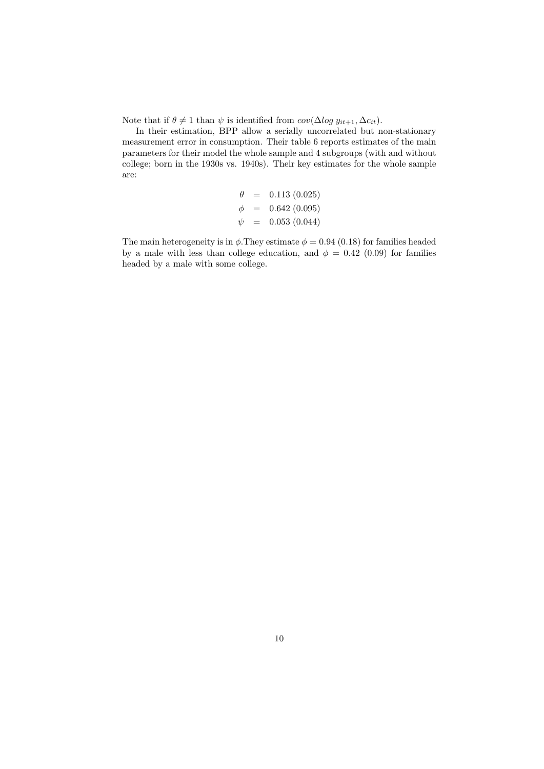Note that if  $\theta \neq 1$  than  $\psi$  is identified from  $cov(\Delta log y_{it+1}, \Delta c_{it}).$ 

In their estimation, BPP allow a serially uncorrelated but non-stationary measurement error in consumption. Their table 6 reports estimates of the main parameters for their model the whole sample and 4 subgroups (with and without college; born in the 1930s vs. 1940s). Their key estimates for the whole sample are:

$$
\begin{array}{rcl}\n\theta & = & 0.113 \ (0.025) \\
\phi & = & 0.642 \ (0.095) \\
\psi & = & 0.053 \ (0.044)\n\end{array}
$$

The main heterogeneity is in  $\phi$ . They estimate  $\phi = 0.94$  (0.18) for families headed by a male with less than college education, and  $\phi = 0.42$  (0.09) for families headed by a male with some college.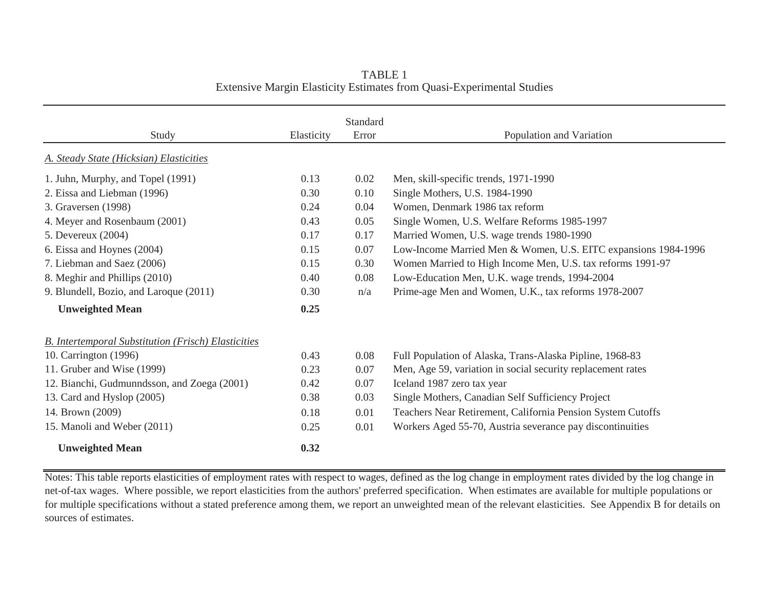| Study                                                      | Elasticity | Standard<br>Error | Population and Variation                                       |
|------------------------------------------------------------|------------|-------------------|----------------------------------------------------------------|
| A. Steady State (Hicksian) Elasticities                    |            |                   |                                                                |
| 1. Juhn, Murphy, and Topel (1991)                          | 0.13       | 0.02              | Men, skill-specific trends, 1971-1990                          |
| 2. Eissa and Liebman (1996)                                | 0.30       | 0.10              | Single Mothers, U.S. 1984-1990                                 |
| 3. Graversen (1998)                                        | 0.24       | 0.04              | Women, Denmark 1986 tax reform                                 |
| 4. Meyer and Rosenbaum (2001)                              | 0.43       | 0.05              | Single Women, U.S. Welfare Reforms 1985-1997                   |
| 5. Devereux (2004)                                         | 0.17       | 0.17              | Married Women, U.S. wage trends 1980-1990                      |
| 6. Eissa and Hoynes (2004)                                 | 0.15       | 0.07              | Low-Income Married Men & Women, U.S. EITC expansions 1984-1996 |
| 7. Liebman and Saez (2006)                                 | 0.15       | 0.30              | Women Married to High Income Men, U.S. tax reforms 1991-97     |
| 8. Meghir and Phillips (2010)                              | 0.40       | 0.08              | Low-Education Men, U.K. wage trends, 1994-2004                 |
| 9. Blundell, Bozio, and Laroque (2011)                     | 0.30       | n/a               | Prime-age Men and Women, U.K., tax reforms 1978-2007           |
| <b>Unweighted Mean</b>                                     | 0.25       |                   |                                                                |
| <b>B.</b> Intertemporal Substitution (Frisch) Elasticities |            |                   |                                                                |
| 10. Carrington (1996)                                      | 0.43       | 0.08              | Full Population of Alaska, Trans-Alaska Pipline, 1968-83       |
| 11. Gruber and Wise (1999)                                 | 0.23       | 0.07              | Men, Age 59, variation in social security replacement rates    |
| 12. Bianchi, Gudmunndsson, and Zoega (2001)                | 0.42       | 0.07              | Iceland 1987 zero tax year                                     |
| 13. Card and Hyslop (2005)                                 | 0.38       | 0.03              | Single Mothers, Canadian Self Sufficiency Project              |
| 14. Brown (2009)                                           | 0.18       | 0.01              | Teachers Near Retirement, California Pension System Cutoffs    |
| 15. Manoli and Weber (2011)                                | 0.25       | 0.01              | Workers Aged 55-70, Austria severance pay discontinuities      |
| <b>Unweighted Mean</b>                                     | 0.32       |                   |                                                                |

TABLE 1Extensive Margin Elasticity Estimates from Quasi-Experimental Studies

Notes: This table reports elasticities of employment rates with respect to wages, defined as the log change in employment rates divided by the log change in net-of-tax wages. Where possible, we report elasticities from the authors' preferred specification. When estimates are available for multiple populations or for multiple specifications without a stated preference among them, we report an unweighted mean of the relevant elasticities. See Appendix B for details on sources of estimates.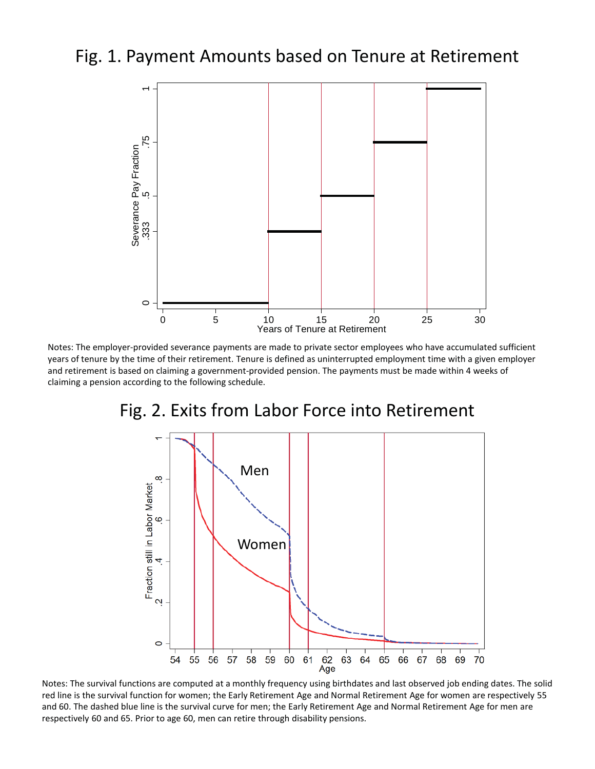# Fig. 1. Payment Amounts based on Tenure at Retirement



Notes: The employer-provided severance payments are made to private sector employees who have accumulated sufficient years of tenure by the time of their retirement. Tenure is defined as uninterrupted employment time with a given employer and retirement is based on claiming a government-provided pension. The payments must be made within 4 weeks of claiming a pension according to the following schedule.



# Fig. 2. Exits from Labor Force into Retirement

Notes: The survival functions are computed at a monthly frequency using birthdates and last observed job ending dates. The solid red line is the survival function for women; the Early Retirement Age and Normal Retirement Age for women are respectively 55 and 60. The dashed blue line is the survival curve for men; the Early Retirement Age and Normal Retirement Age for men are respectively 60 and 65. Prior to age 60, men can retire through disability pensions.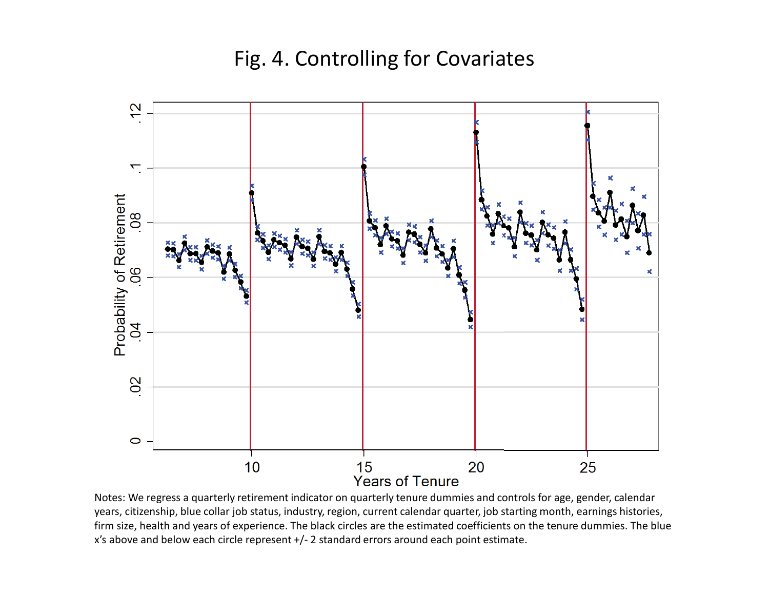# Fig. 4. Controlling for Covariates



Notes: We regress a quarterly retirement indicator on quarterly tenure dummies and controls for age, gender, calendar years, citizenship, blue collar job status, industry, region, current calendar quarter, job starting month, earnings histories, firm size, health and years of experience. The black circles are the estimated coefficients on the tenure dummies. The blue x's above and below each circle represent +/- 2 standard errors around each point estimate.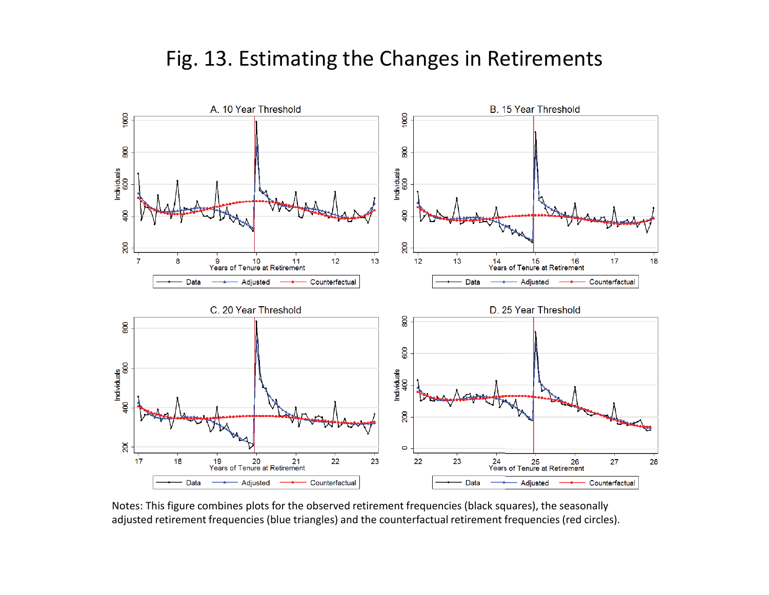# Fig. 13. Estimating the Changes in Retirements



Notes: This figure combines plots for the observed retirement frequencies (black squares), the seasonally adjusted retirement frequencies (blue triangles) and the counterfactual retirement frequencies (red circles).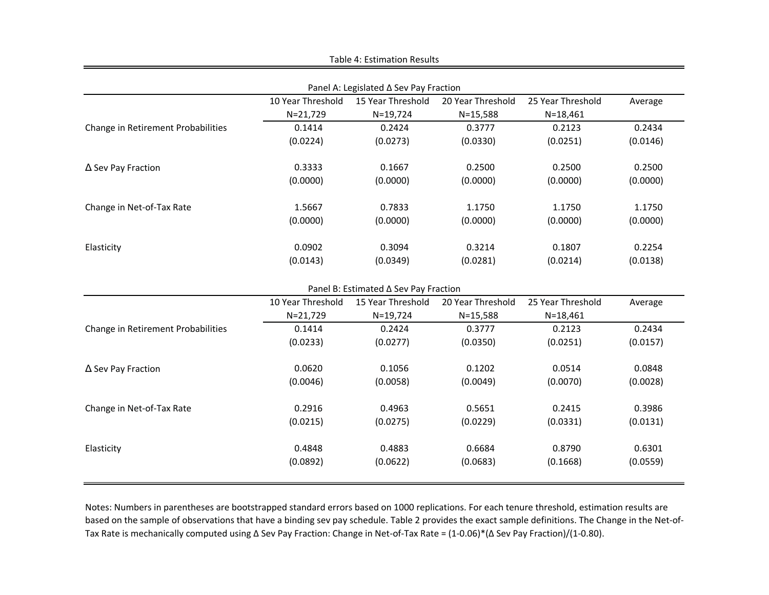|                                        |                                                                                             | Table 4: Estimation Results           |                   |                   |          |  |  |  |  |
|----------------------------------------|---------------------------------------------------------------------------------------------|---------------------------------------|-------------------|-------------------|----------|--|--|--|--|
|                                        |                                                                                             |                                       |                   |                   |          |  |  |  |  |
| Panel A: Legislated ∆ Sev Pay Fraction |                                                                                             |                                       |                   |                   |          |  |  |  |  |
|                                        | 10 Year Threshold                                                                           | 15 Year Threshold                     | 20 Year Threshold | 25 Year Threshold | Average  |  |  |  |  |
|                                        | $N = 21,729$                                                                                | $N = 19,724$                          | $N = 15,588$      | $N = 18,461$      |          |  |  |  |  |
| Change in Retirement Probabilities     | 0.1414                                                                                      | 0.2424                                | 0.3777            | 0.2123            | 0.2434   |  |  |  |  |
|                                        | (0.0224)                                                                                    | (0.0273)                              | (0.0330)          | (0.0251)          | (0.0146) |  |  |  |  |
| $\Delta$ Sev Pay Fraction              | 0.3333                                                                                      | 0.1667                                | 0.2500            | 0.2500            | 0.2500   |  |  |  |  |
|                                        | (0.0000)                                                                                    | (0.0000)                              | (0.0000)          | (0.0000)          | (0.0000) |  |  |  |  |
| Change in Net-of-Tax Rate              | 1.5667                                                                                      | 0.7833                                | 1.1750            | 1.1750            | 1.1750   |  |  |  |  |
|                                        | (0.0000)                                                                                    | (0.0000)                              | (0.0000)          | (0.0000)          | (0.0000) |  |  |  |  |
| Elasticity                             | 0.0902                                                                                      | 0.3094                                | 0.3214            | 0.1807            | 0.2254   |  |  |  |  |
|                                        | (0.0143)                                                                                    | (0.0349)                              | (0.0281)          | (0.0214)          | (0.0138) |  |  |  |  |
|                                        |                                                                                             | Panel B: Estimated ∆ Sev Pay Fraction |                   |                   |          |  |  |  |  |
|                                        | 20 Year Threshold<br>10 Year Threshold<br>15 Year Threshold<br>25 Year Threshold<br>Average |                                       |                   |                   |          |  |  |  |  |
|                                        | $N = 21,729$                                                                                | $N = 19,724$                          | $N = 15,588$      | $N = 18,461$      |          |  |  |  |  |
| Change in Retirement Probabilities     | 0.1414                                                                                      | 0.2424                                | 0.3777            | 0.2123            | 0.2434   |  |  |  |  |
|                                        | (0.0233)                                                                                    | (0.0277)                              | (0.0350)          | (0.0251)          | (0.0157) |  |  |  |  |
| $\Delta$ Sev Pay Fraction              | 0.0620                                                                                      | 0.1056                                | 0.1202            | 0.0514            | 0.0848   |  |  |  |  |
|                                        | (0.0046)                                                                                    | (0.0058)                              | (0.0049)          | (0.0070)          | (0.0028) |  |  |  |  |
| Change in Net-of-Tax Rate              | 0.2916                                                                                      | 0.4963                                | 0.5651            | 0.2415            | 0.3986   |  |  |  |  |
|                                        | (0.0215)                                                                                    | (0.0275)                              | (0.0229)          | (0.0331)          | (0.0131) |  |  |  |  |
| Elasticity                             | 0.4848                                                                                      | 0.4883                                | 0.6684            | 0.8790            | 0.6301   |  |  |  |  |
|                                        | (0.0892)                                                                                    | (0.0622)                              | (0.0683)          | (0.1668)          | (0.0559) |  |  |  |  |
|                                        |                                                                                             |                                       |                   |                   |          |  |  |  |  |

Notes: Numbers in parentheses are bootstrapped standard errors based on 1000 replications. For each tenure threshold, estimation results are based on the sample of observations that have a binding sev pay schedule. Table 2 provides the exact sample definitions. The Change in the Net-of-Tax Rate is mechanically computed using Δ Sev Pay Fraction: Change in Net-of-Tax Rate = (1-0.06)\*(Δ Sev Pay Fraction)/(1-0.80).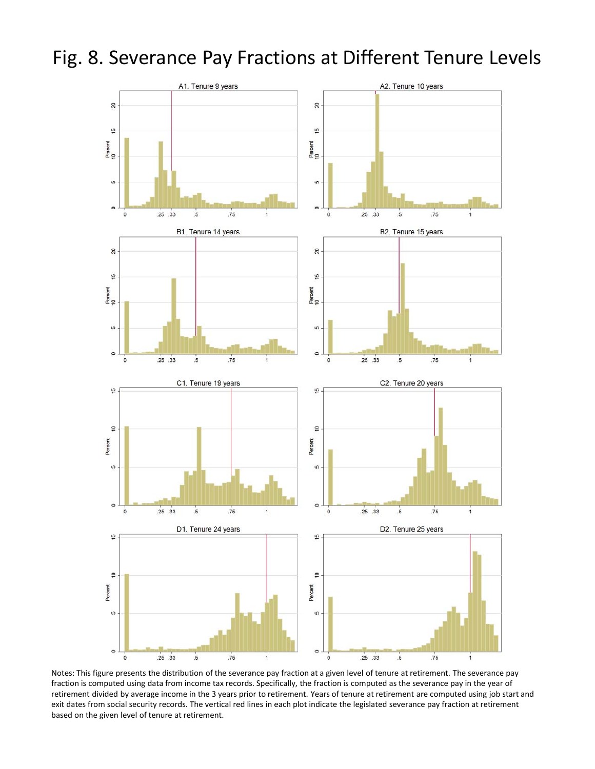



Notes: This figure presents the distribution of the severance pay fraction at a given level of tenure at retirement. The severance pay fraction is computed using data from income tax records. Specifically, the fraction is computed as the severance pay in the year of retirement divided by average income in the 3 years prior to retirement. Years of tenure at retirement are computed using job start and exit dates from social security records. The vertical red lines in each plot indicate the legislated severance pay fraction at retirement based on the given level of tenure at retirement.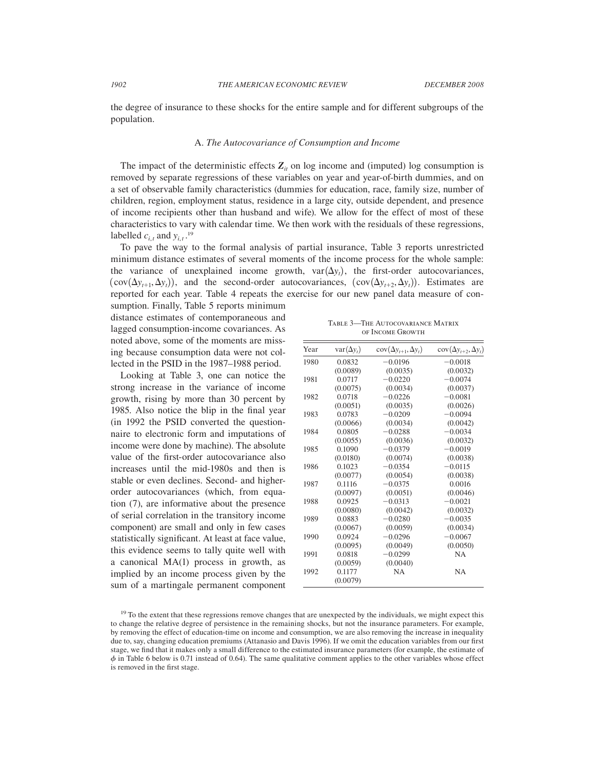the degree of insurance to these shocks for the entire sample and for different subgroups of the population.

## A. *The Autocovariance of Consumption and Income*

The impact of the deterministic effects  $Z_i$  on log income and (imputed) log consumption is removed by separate regressions of these variables on year and year-of-birth dummies, and on a set of observable family characteristics (dummies for education, race, family size, number of children, region, employment status, residence in a large city, outside dependent, and presence of income recipients other than husband and wife). We allow for the effect of most of these characteristics to vary with calendar time. We then work with the residuals of these regressions, labelled  $c_{i,t}$  and  $y_{i,t}$ .<sup>19</sup>

To pave the way to the formal analysis of partial insurance, Table 3 reports unrestricted minimum distance estimates of several moments of the income process for the whole sample: the variance of unexplained income growth,  $var(\Delta y_t)$ , the first-order autocovariances,  $(\text{cov}(\Delta y_{t+1}, \Delta y_t))$ , and the second-order autocovariances,  $(\text{cov}(\Delta y_{t+2}, \Delta y_t))$ . Estimates are reported for each year. Table 4 repeats the exercise for our new panel data measure of con-

sumption. Finally, Table 5 reports minimum distance estimates of contemporaneous and lagged consumption-income covariances. As noted above, some of the moments are missing because consumption data were not collected in the PSID in the 1987–1988 period.

Looking at Table 3, one can notice the strong increase in the variance of income growth, rising by more than 30 percent by 1985. Also notice the blip in the final year (in 1992 the PSID converted the questionnaire to electronic form and imputations of income were done by machine). The absolute value of the first-order autocovariance also increases until the mid-1980s and then is stable or even declines. Second- and higherorder autocovariances (which, from equation (7), are informative about the presence of serial correlation in the transitory income component) are small and only in few cases statistically significant. At least at face value, this evidence seems to tally quite well with a canonical MA(1) process in growth, as implied by an income process given by the sum of a martingale permanent component

Table 3—The Autocovariance Matrix of Income Growth

| Year | $var(\Delta y_t)$ | $cov(\Delta y_{t+1}, \Delta y_t)$ | $cov(\Delta y_{t+2}, \Delta y_t)$ |
|------|-------------------|-----------------------------------|-----------------------------------|
| 1980 | 0.0832            | $-0.0196$                         | $-0.0018$                         |
|      | (0.0089)          | (0.0035)                          | (0.0032)                          |
| 1981 | 0.0717            | $-0.0220$                         | $-0.0074$                         |
|      | (0.0075)          | (0.0034)                          | (0.0037)                          |
| 1982 | 0.0718            | $-0.0226$                         | $-0.0081$                         |
|      | (0.0051)          | (0.0035)                          | (0.0026)                          |
| 1983 | 0.0783            | $-0.0209$                         | $-0.0094$                         |
|      | (0.0066)          | (0.0034)                          | (0.0042)                          |
| 1984 | 0.0805            | $-0.0288$                         | $-0.0034$                         |
|      | (0.0055)          | (0.0036)                          | (0.0032)                          |
| 1985 | 0.1090            | $-0.0379$                         | $-0.0019$                         |
|      | (0.0180)          | (0.0074)                          | (0.0038)                          |
| 1986 | 0.1023            | $-0.0354$                         | $-0.0115$                         |
|      | (0.0077)          | (0.0054)                          | (0.0038)                          |
| 1987 | 0.1116            | $-0.0375$                         | 0.0016                            |
|      | (0.0097)          | (0.0051)                          | (0.0046)                          |
| 1988 | 0.0925            | $-0.0313$                         | $-0.0021$                         |
|      | (0.0080)          | (0.0042)                          | (0.0032)                          |
| 1989 | 0.0883            | $-0.0280$                         | $-0.0035$                         |
|      | (0.0067)          | (0.0059)                          | (0.0034)                          |
| 1990 | 0.0924            | $-0.0296$                         | $-0.0067$                         |
|      | (0.0095)          | (0.0049)                          | (0.0050)                          |
| 1991 | 0.0818            | $-0.0299$                         | <b>NA</b>                         |
|      | (0.0059)          | (0.0040)                          |                                   |
| 1992 | 0.1177            | <b>NA</b>                         | <b>NA</b>                         |
|      | (0.0079)          |                                   |                                   |

<sup>&</sup>lt;sup>19</sup> To the extent that these regressions remove changes that are unexpected by the individuals, we might expect this to change the relative degree of persistence in the remaining shocks, but not the insurance parameters. For example, by removing the effect of education-time on income and consumption, we are also removing the increase in inequality due to, say, changing education premiums (Attanasio and Davis 1996). If we omit the education variables from our first stage, we find that it makes only a small difference to the estimated insurance parameters (for example, the estimate of  $\phi$  in Table 6 below is 0.71 instead of 0.64). The same qualitative comment applies to the other variables whose effect is removed in the first stage.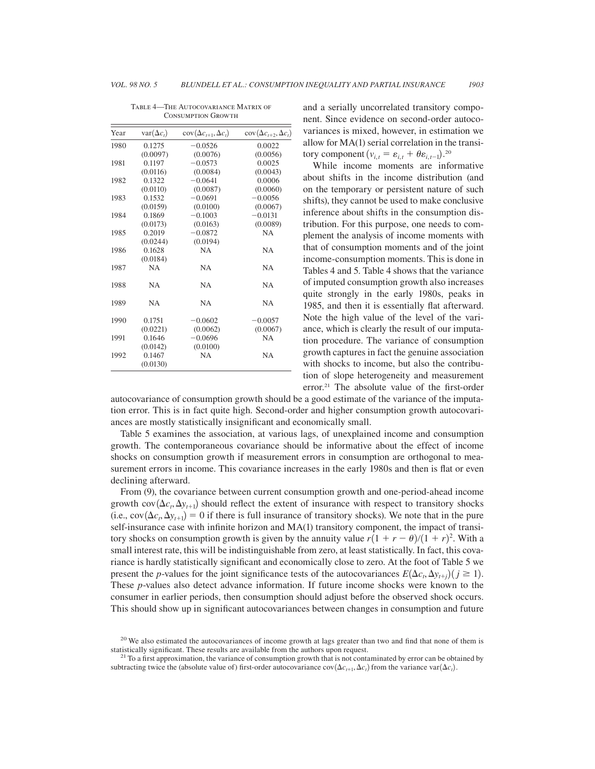|           |                                                                                                             | $cov(\Delta c_{t+2}, \Delta c_t)$                                                                            |
|-----------|-------------------------------------------------------------------------------------------------------------|--------------------------------------------------------------------------------------------------------------|
|           |                                                                                                             |                                                                                                              |
|           |                                                                                                             | 0.0022                                                                                                       |
|           |                                                                                                             | (0.0056)                                                                                                     |
|           |                                                                                                             | 0.0025                                                                                                       |
|           |                                                                                                             | (0.0043)                                                                                                     |
|           |                                                                                                             | 0.0006                                                                                                       |
|           |                                                                                                             | (0.0060)                                                                                                     |
| 0.1532    | $-0.0691$                                                                                                   | $-0.0056$                                                                                                    |
| (0.0159)  | (0.0100)                                                                                                    | (0.0067)                                                                                                     |
| 0.1869    | $-0.1003$                                                                                                   | $-0.0131$                                                                                                    |
| (0.0173)  | (0.0163)                                                                                                    | (0.0089)                                                                                                     |
| 0.2019    | $-0.0872$                                                                                                   | <b>NA</b>                                                                                                    |
| (0.0244)  | (0.0194)                                                                                                    |                                                                                                              |
| 0.1628    | <b>NA</b>                                                                                                   | <b>NA</b>                                                                                                    |
|           |                                                                                                             |                                                                                                              |
| <b>NA</b> | <b>NA</b>                                                                                                   | <b>NA</b>                                                                                                    |
| <b>NA</b> | <b>NA</b>                                                                                                   | <b>NA</b>                                                                                                    |
| <b>NA</b> | NA.                                                                                                         | <b>NA</b>                                                                                                    |
| 0.1751    | $-0.0602$                                                                                                   | $-0.0057$                                                                                                    |
| (0.0221)  | (0.0062)                                                                                                    | (0.0067)                                                                                                     |
| 0.1646    | $-0.0696$                                                                                                   | NA                                                                                                           |
| (0.0142)  | (0.0100)                                                                                                    |                                                                                                              |
| 0.1467    | <b>NA</b>                                                                                                   | <b>NA</b>                                                                                                    |
|           | $var(\Delta c_t)$<br>0.1275<br>(0.0097)<br>0.1197<br>(0.0116)<br>0.1322<br>(0.0110)<br>(0.0184)<br>(0.0130) | $cov(\Delta c_{t+1}, \Delta c_t)$<br>$-0.0526$<br>(0.0076)<br>$-0.0573$<br>(0.0084)<br>$-0.0641$<br>(0.0087) |

Table 4—The Autocovariance Matrix of CONSUMPTION GROWTH

and a serially uncorrelated transitory component. Since evidence on second-order autocovariances is mixed, however, in estimation we allow for MA(1) serial correlation in the transitory component  $(v_{i,t} = \varepsilon_{i,t} + \theta \varepsilon_{i,t-1})$ <sup>20</sup>

While income moments are informative about shifts in the income distribution (and on the temporary or persistent nature of such shifts), they cannot be used to make conclusive inference about shifts in the consumption distribution. For this purpose, one needs to complement the analysis of income moments with that of consumption moments and of the joint income-consumption moments. This is done in Tables 4 and 5. Table 4 shows that the variance of imputed consumption growth also increases quite strongly in the early 1980s, peaks in 1985, and then it is essentially flat afterward. Note the high value of the level of the variance, which is clearly the result of our imputation procedure. The variance of consumption growth captures in fact the genuine association with shocks to income, but also the contribution of slope heterogeneity and measurement error.21 The absolute value of the first-order

autocovariance of consumption growth should be a good estimate of the variance of the imputation error. This is in fact quite high. Second-order and higher consumption growth autocovariances are mostly statistically insignificant and economically small.

Table 5 examines the association, at various lags, of unexplained income and consumption growth. The contemporaneous covariance should be informative about the effect of income shocks on consumption growth if measurement errors in consumption are orthogonal to measurement errors in income. This covariance increases in the early 1980s and then is flat or even declining afterward.

From (9), the covariance between current consumption growth and one-period-ahead income growth  $cov(\Delta c_t, \Delta y_{t+1})$  should reflect the extent of insurance with respect to transitory shocks (i.e.,  $cov(\Delta c_t, \Delta y_{t+1}) = 0$  if there is full insurance of transitory shocks). We note that in the pure self-insurance case with infinite horizon and MA(1) transitory component, the impact of transitory shocks on consumption growth is given by the annuity value  $r(1 + r - \theta)/(1 + r)^2$ . With a small interest rate, this will be indistinguishable from zero, at least statistically. In fact, this covariance is hardly statistically significant and economically close to zero. At the foot of Table 5 we present the *p*-values for the joint significance tests of the autocovariances  $E(\Delta c_t, \Delta y_{t+j})(j \ge 1)$ . These *p*-values also detect advance information. If future income shocks were known to the consumer in earlier periods, then consumption should adjust before the observed shock occurs. This should show up in significant autocovariances between changes in consumption and future

 $20$  We also estimated the autocovariances of income growth at lags greater than two and find that none of them is statistically significant. These results are available from the authors upon request.<br><sup>21</sup> To a first approximation, the variance of consumption growth that is not contaminated by error can be obtained by

subtracting twice the (absolute value of) first-order autocovariance cov $(\Delta c_{t+1}, \Delta c_t)$  from the variance var $(\Delta c_t)$ .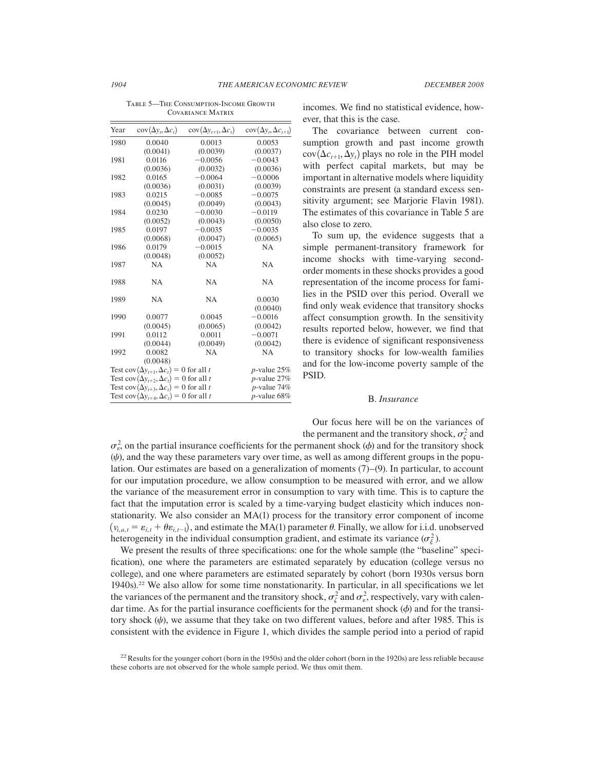| Year                                                  | $cov(\Delta y_t, \Delta c_t)$                         | $cov(\Delta y_{t+1}, \Delta c_t)$ | $cov(\Delta y_t, \Delta c_{t+1})$ |
|-------------------------------------------------------|-------------------------------------------------------|-----------------------------------|-----------------------------------|
| 1980                                                  | 0.0040                                                | 0.0013                            | 0.0053                            |
|                                                       | (0.0041)                                              | (0.0039)                          | (0.0037)                          |
| 1981                                                  | 0.0116                                                | $-0.0056$                         | $-0.0043$                         |
|                                                       | (0.0036)                                              | (0.0032)                          | (0.0036)                          |
| 1982                                                  | 0.0165                                                | $-0.0064$                         | $-0.0006$                         |
|                                                       | (0.0036)                                              | (0.0031)                          | (0.0039)                          |
| 1983                                                  | 0.0215                                                | $-0.0085$                         | $-0.0075$                         |
|                                                       | (0.0045)                                              | (0.0049)                          | (0.0043)                          |
| 1984                                                  | 0.0230                                                | $-0.0030$                         | $-0.0119$                         |
|                                                       | (0.0052)                                              | (0.0043)                          | (0.0050)                          |
| 1985                                                  | 0.0197                                                | $-0.0035$                         | $-0.0035$                         |
|                                                       | (0.0068)                                              | (0.0047)                          | (0.0065)                          |
| 1986                                                  | 0.0179                                                | $-0.0015$                         | <b>NA</b>                         |
|                                                       | (0.0048)                                              | (0.0052)                          |                                   |
| 1987                                                  | NA                                                    | <b>NA</b>                         | <b>NA</b>                         |
| 1988                                                  | <b>NA</b>                                             | <b>NA</b>                         | <b>NA</b>                         |
| 1989                                                  | <b>NA</b>                                             | <b>NA</b>                         | 0.0030                            |
|                                                       |                                                       |                                   | (0.0040)                          |
| 1990                                                  | 0.0077                                                | 0.0045                            | $-0.0016$                         |
|                                                       | (0.0045)                                              | (0.0065)                          | (0.0042)                          |
| 1991                                                  | 0.0112                                                | 0.0011                            | $-0.0071$                         |
|                                                       | (0.0044)                                              | (0.0049)                          | (0.0042)                          |
| 1992                                                  | 0.0082                                                | <b>NA</b>                         | <b>NA</b>                         |
|                                                       | (0.0048)                                              |                                   |                                   |
|                                                       | Test cov $(\Delta y_{t+1}, \Delta c_t) = 0$ for all t |                                   | $p$ -value 25%                    |
| Test cov $(\Delta y_{t+2}, \Delta c_t) = 0$ for all t | $p$ -value 27%                                        |                                   |                                   |
|                                                       | Test cov $(\Delta y_{t+3}, \Delta c_t) = 0$ for all t |                                   | $p$ -value 74%                    |
|                                                       | Test cov $(\Delta y_{t+4}, \Delta c_t) = 0$ for all t |                                   | $p$ -value 68%                    |

TABLE 5-THE CONSUMPTION-INCOME GROWTH Covariance Matrix

incomes. We find no statistical evidence, however, that this is the case.

The covariance between current consumption growth and past income growth  $cov(\Delta c_{t+1}, \Delta y_t)$  plays no role in the PIH model with perfect capital markets, but may be important in alternative models where liquidity constraints are present (a standard excess sensitivity argument; see Marjorie Flavin 1981). The estimates of this covariance in Table 5 are also close to zero.

To sum up, the evidence suggests that a simple permanent-transitory framework for income shocks with time-varying secondorder moments in these shocks provides a good representation of the income process for families in the PSID over this period. Overall we find only weak evidence that transitory shocks affect consumption growth. In the sensitivity results reported below, however, we find that there is evidence of significant responsiveness to transitory shocks for low-wealth families and for the low-income poverty sample of the PSID.

#### B. *Insurance*

Our focus here will be on the variances of the permanent and the transitory shock,  $\sigma_{\zeta}^2$  and

 $\sigma_{\varepsilon}^2$ , on the partial insurance coefficients for the permanent shock ( $\phi$ ) and for the transitory shock  $(\psi)$ , and the way these parameters vary over time, as well as among different groups in the population. Our estimates are based on a generalization of moments  $(7)$ – $(9)$ . In particular, to account for our imputation procedure, we allow consumption to be measured with error, and we allow the variance of the measurement error in consumption to vary with time. This is to capture the fact that the imputation error is scaled by a time-varying budget elasticity which induces nonstationarity. We also consider an MA(1) process for the transitory error component of income  $(v_{i,a,t} = \varepsilon_{i,t} + \theta \varepsilon_{i,t-1})$ , and estimate the MA(1) parameter  $\theta$ . Finally, we allow for i.i.d. unobserved heterogeneity in the individual consumption gradient, and estimate its variance  $(\sigma_{\xi}^2)$ .

We present the results of three specifications: one for the whole sample (the "baseline" specification), one where the parameters are estimated separately by education (college versus no college), and one where parameters are estimated separately by cohort (born 1930s versus born 1940s).<sup>22</sup> We also allow for some time nonstationarity. In particular, in all specifications we let the variances of the permanent and the transitory shock,  $\sigma_{\zeta}^2$  and  $\sigma_{\epsilon}^2$ , respectively, vary with calendar time. As for the partial insurance coefficients for the permanent shock  $(\phi)$  and for the transitory shock  $(\psi)$ , we assume that they take on two different values, before and after 1985. This is consistent with the evidence in Figure 1, which divides the sample period into a period of rapid

 $22$  Results for the younger cohort (born in the 1950s) and the older cohort (born in the 1920s) are less reliable because these cohorts are not observed for the whole sample period. We thus omit them.